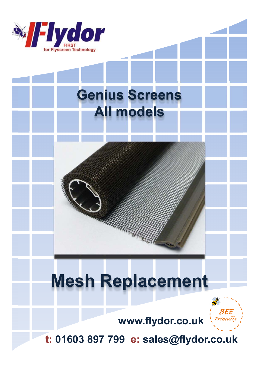

## **Genius Screens All models**

# **Mesh Replacement**



**www.flydor.co.uk**

**t: 01603 897 799 e: sales@flydor.co.uk**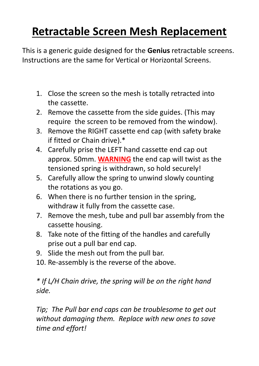## **Retractable Screen Mesh Replacement**

This is a generic guide designed for the **Genius** retractable screens. Instructions are the same for Vertical or Horizontal Screens.

- 1. Close the screen so the mesh is totally retracted into the cassette.
- 2. Remove the cassette from the side guides. (This may require the screen to be removed from the window).
- 3. Remove the RIGHT cassette end cap (with safety brake if fitted or Chain drive).\*
- 4. Carefully prise the LEFT hand cassette end cap out approx. 50mm. **WARNING** the end cap will twist as the tensioned spring is withdrawn, so hold securely!
- 5. Carefully allow the spring to unwind slowly counting the rotations as you go.
- 6. When there is no further tension in the spring, withdraw it fully from the cassette case.
- 7. Remove the mesh, tube and pull bar assembly from the cassette housing.
- 8. Take note of the fitting of the handles and carefully prise out a pull bar end cap.
- 9. Slide the mesh out from the pull bar.
- 10. Re-assembly is the reverse of the above.

#### *\* If L/H Chain drive, the spring will be on the right hand side.*

*Tip; The Pull bar end caps can be troublesome to get out without damaging them. Replace with new ones to save time and effort!*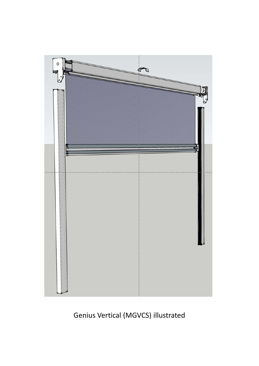

### Genius Vertical (MGVCS) illustrated